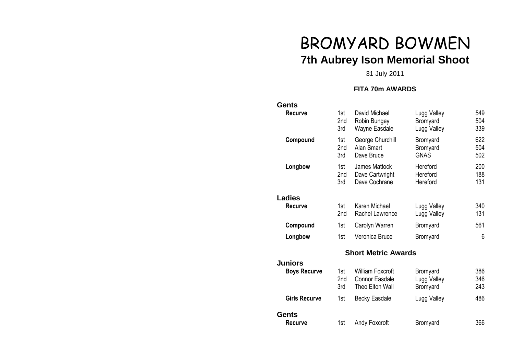# BROMYARD BOWMEN **7th Aubrey Ison Memorial Shoot**

# 31 July 2011

#### **FITA 70m AWARDS**

#### **Gents**

| <b>Recurve</b>       | 1st<br>2nd<br>3rd             | David Michael<br>Robin Bungey<br>Wayne Easdale                      | Lugg Valley<br>Bromyard<br>Lugg Valley | 549<br>504<br>339 |
|----------------------|-------------------------------|---------------------------------------------------------------------|----------------------------------------|-------------------|
| Compound             | 1st<br>2nd<br>3rd             | George Churchill<br>Alan Smart<br>Dave Bruce                        | Bromyard<br>Bromyard<br><b>GNAS</b>    | 622<br>504<br>502 |
| Longbow              | 1st<br>2nd<br>3rd             | James Mattock<br>Dave Cartwright<br>Dave Cochrane                   | Hereford<br>Hereford<br>Hereford       | 200<br>188<br>131 |
| <b>Ladies</b>        |                               |                                                                     |                                        |                   |
| <b>Recurve</b>       | 1st<br>2 <sub>nd</sub>        | Karen Michael<br>Rachel Lawrence                                    | Lugg Valley<br>Lugg Valley             | 340<br>131        |
| Compound             | 1st                           | Carolyn Warren                                                      | Bromyard                               | 561               |
| Longbow              | 1st                           | Veronica Bruce                                                      | Bromyard                               | 6                 |
|                      |                               | <b>Short Metric Awards</b>                                          |                                        |                   |
| <b>Juniors</b>       |                               |                                                                     |                                        |                   |
| <b>Boys Recurve</b>  | 1st<br>2 <sub>nd</sub><br>3rd | <b>William Foxcroft</b><br><b>Connor Easdale</b><br>Theo Elton Wall | Bromyard<br>Lugg Valley<br>Bromyard    | 386<br>346<br>243 |
| <b>Girls Recurve</b> | 1st                           | <b>Becky Easdale</b>                                                | Lugg Valley                            | 486               |
| <b>Gents</b>         |                               |                                                                     |                                        |                   |
| <b>Recurve</b>       | 1st                           | Andy Foxcroft                                                       | Bromyard                               | 366               |